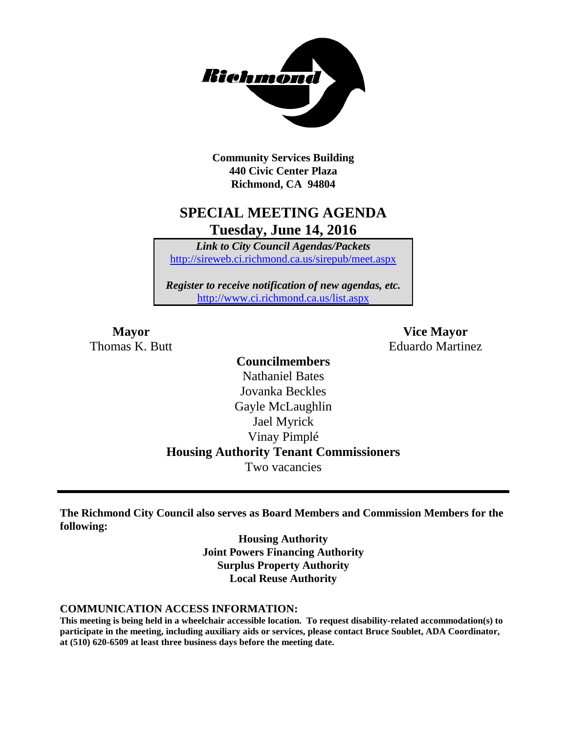

**Community Services Building 440 Civic Center Plaza Richmond, CA 94804**

## **SPECIAL MEETING AGENDA Tuesday, June 14, 2016**

*Link to City Council Agendas/Packets* <http://sireweb.ci.richmond.ca.us/sirepub/meet.aspx>

*Register to receive notification of new agendas, etc.* <http://www.ci.richmond.ca.us/list.aspx>

**Mayor Vice Mayor** Thomas K. Butt **Eduardo Martinez** 

### **Councilmembers** Nathaniel Bates Jovanka Beckles Gayle McLaughlin Jael Myrick Vinay Pimplé **Housing Authority Tenant Commissioners** Two vacancies

**The Richmond City Council also serves as Board Members and Commission Members for the following:**

> **Housing Authority Joint Powers Financing Authority Surplus Property Authority Local Reuse Authority**

#### **COMMUNICATION ACCESS INFORMATION:**

**This meeting is being held in a wheelchair accessible location. To request disability-related accommodation(s) to participate in the meeting, including auxiliary aids or services, please contact Bruce Soublet, ADA Coordinator, at (510) 620-6509 at least three business days before the meeting date.**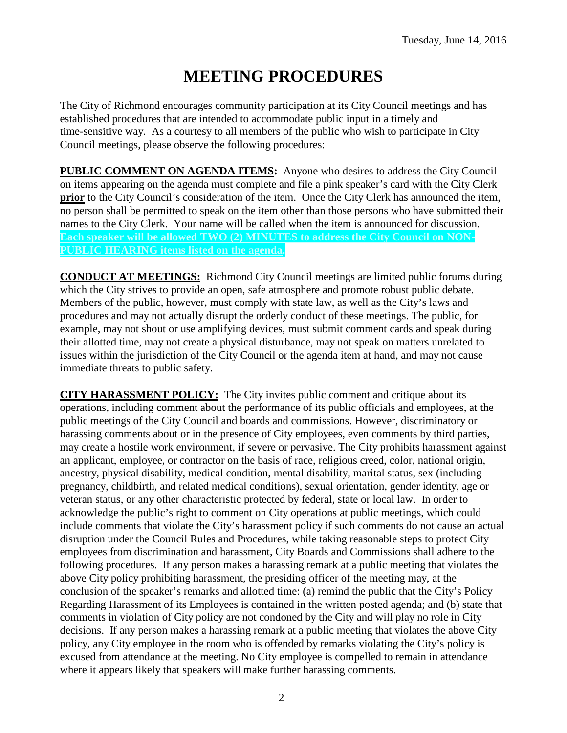# **MEETING PROCEDURES**

The City of Richmond encourages community participation at its City Council meetings and has established procedures that are intended to accommodate public input in a timely and time-sensitive way. As a courtesy to all members of the public who wish to participate in City Council meetings, please observe the following procedures:

**PUBLIC COMMENT ON AGENDA ITEMS:** Anyone who desires to address the City Council on items appearing on the agenda must complete and file a pink speaker's card with the City Clerk **prior** to the City Council's consideration of the item. Once the City Clerk has announced the item, no person shall be permitted to speak on the item other than those persons who have submitted their names to the City Clerk. Your name will be called when the item is announced for discussion. **Each speaker will be allowed TWO (2) MINUTES to address the City Council on NON-PUBLIC HEARING items listed on the agenda.**

**CONDUCT AT MEETINGS:** Richmond City Council meetings are limited public forums during which the City strives to provide an open, safe atmosphere and promote robust public debate. Members of the public, however, must comply with state law, as well as the City's laws and procedures and may not actually disrupt the orderly conduct of these meetings. The public, for example, may not shout or use amplifying devices, must submit comment cards and speak during their allotted time, may not create a physical disturbance, may not speak on matters unrelated to issues within the jurisdiction of the City Council or the agenda item at hand, and may not cause immediate threats to public safety.

**CITY HARASSMENT POLICY:** The City invites public comment and critique about its operations, including comment about the performance of its public officials and employees, at the public meetings of the City Council and boards and commissions. However, discriminatory or harassing comments about or in the presence of City employees, even comments by third parties, may create a hostile work environment, if severe or pervasive. The City prohibits harassment against an applicant, employee, or contractor on the basis of race, religious creed, color, national origin, ancestry, physical disability, medical condition, mental disability, marital status, sex (including pregnancy, childbirth, and related medical conditions), sexual orientation, gender identity, age or veteran status, or any other characteristic protected by federal, state or local law. In order to acknowledge the public's right to comment on City operations at public meetings, which could include comments that violate the City's harassment policy if such comments do not cause an actual disruption under the Council Rules and Procedures, while taking reasonable steps to protect City employees from discrimination and harassment, City Boards and Commissions shall adhere to the following procedures. If any person makes a harassing remark at a public meeting that violates the above City policy prohibiting harassment, the presiding officer of the meeting may, at the conclusion of the speaker's remarks and allotted time: (a) remind the public that the City's Policy Regarding Harassment of its Employees is contained in the written posted agenda; and (b) state that comments in violation of City policy are not condoned by the City and will play no role in City decisions. If any person makes a harassing remark at a public meeting that violates the above City policy, any City employee in the room who is offended by remarks violating the City's policy is excused from attendance at the meeting. No City employee is compelled to remain in attendance where it appears likely that speakers will make further harassing comments.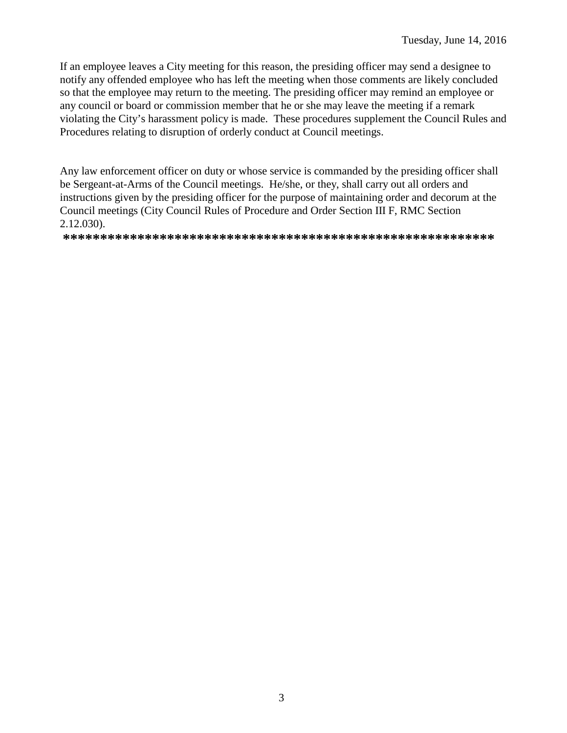If an employee leaves a City meeting for this reason, the presiding officer may send a designee to notify any offended employee who has left the meeting when those comments are likely concluded so that the employee may return to the meeting. The presiding officer may remind an employee or any council or board or commission member that he or she may leave the meeting if a remark violating the City's harassment policy is made. These procedures supplement the Council Rules and Procedures relating to disruption of orderly conduct at Council meetings.

Any law enforcement officer on duty or whose service is commanded by the presiding officer shall be Sergeant-at-Arms of the Council meetings. He/she, or they, shall carry out all orders and instructions given by the presiding officer for the purpose of maintaining order and decorum at the Council meetings (City Council Rules of Procedure and Order Section III F, RMC Section  $2.12.030$ ).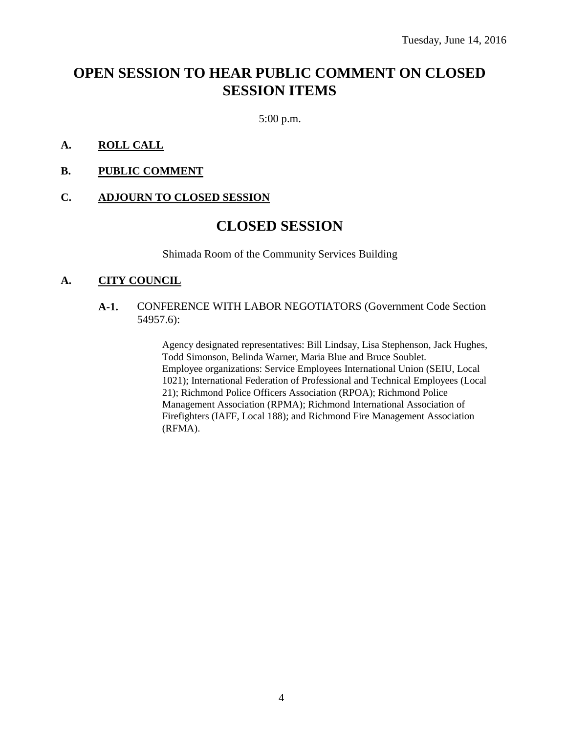# **OPEN SESSION TO HEAR PUBLIC COMMENT ON CLOSED SESSION ITEMS**

5:00 p.m.

#### **A. ROLL CALL**

**B. PUBLIC COMMENT**

#### **C. ADJOURN TO CLOSED SESSION**

### **CLOSED SESSION**

Shimada Room of the Community Services Building

#### **A. CITY COUNCIL**

#### **A-1.** CONFERENCE WITH LABOR NEGOTIATORS (Government Code Section 54957.6):

Agency designated representatives: Bill Lindsay, Lisa Stephenson, Jack Hughes, Todd Simonson, Belinda Warner, Maria Blue and Bruce Soublet. Employee organizations: Service Employees International Union (SEIU, Local 1021); International Federation of Professional and Technical Employees (Local 21); Richmond Police Officers Association (RPOA); Richmond Police Management Association (RPMA); Richmond International Association of Firefighters (IAFF, Local 188); and Richmond Fire Management Association (RFMA).